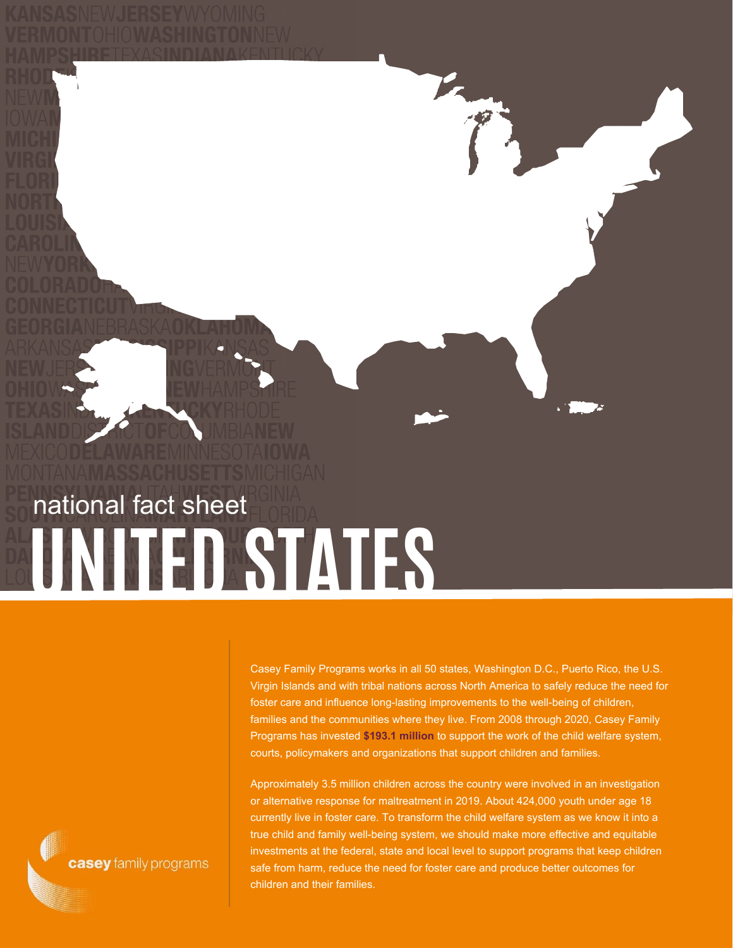# **UNITED STATES** national fact sheet

Casey Family Programs works in all 50 states, Washington D.C., Puerto Rico, the U.S. Virgin Islands and with tribal nations across North America to safely reduce the need for foster care and influence long-lasting improvements to the well-being of children, families and the communities where they live. From 2008 through 2020, Casey Family Programs has invested **\$193.1 million** to support the work of the child welfare system, courts, policymakers and organizations that support children and families.

Approximately 3.5 million children across the country were involved in an investigation or alternative response for maltreatment in 2019. About 424,000 youth under age 18 currently live in foster care. To transform the child welfare system as we know it into a true child and family well-being system, we should make more effective and equitable investments at the federal, state and local level to support programs that keep children safe from harm, reduce the need for foster care and produce better outcomes for children and their families.

casey family programs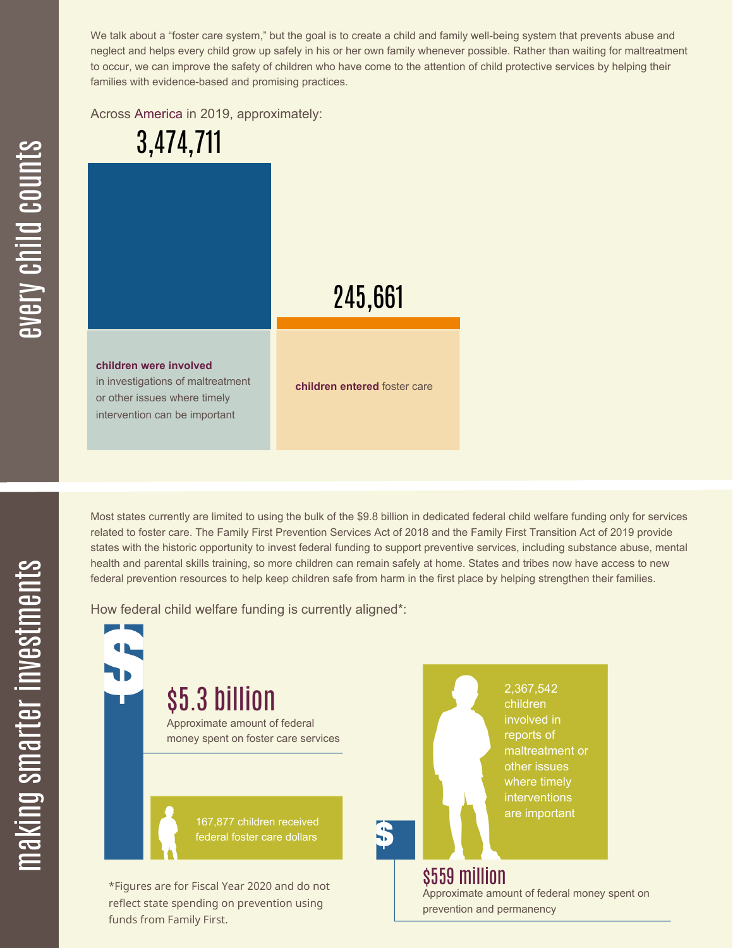We talk about a "foster care system," but the goal is to create a child and family well-being system that prevents abuse and neglect and helps every child grow up safely in his or her own family whenever possible. Rather than waiting for maltreatment to occur, we can improve the safety of children who have come to the attention of child protective services by helping their families with evidence-based and promising practices.

Across America in 2019, approximately:

3,474,711

# 245,661

#### **children were involved**

in investigations of maltreatment or other issues where timely intervention can be important

funds from Family First.

**children entered** foster care

Most states currently are limited to using the bulk of the \$9.8 billion in dedicated federal child welfare funding only for services related to foster care. The Family First Prevention Services Act of 2018 and the Family First Transition Act of 2019 provide states with the historic opportunity to invest federal funding to support preventive services, including substance abuse, mental health and parental skills training, so more children can remain safely at home. States and tribes now have access to new federal prevention resources to help keep children safe from harm in the first place by helping strengthen their families.

How federal child welfare funding is currently aligned\*:

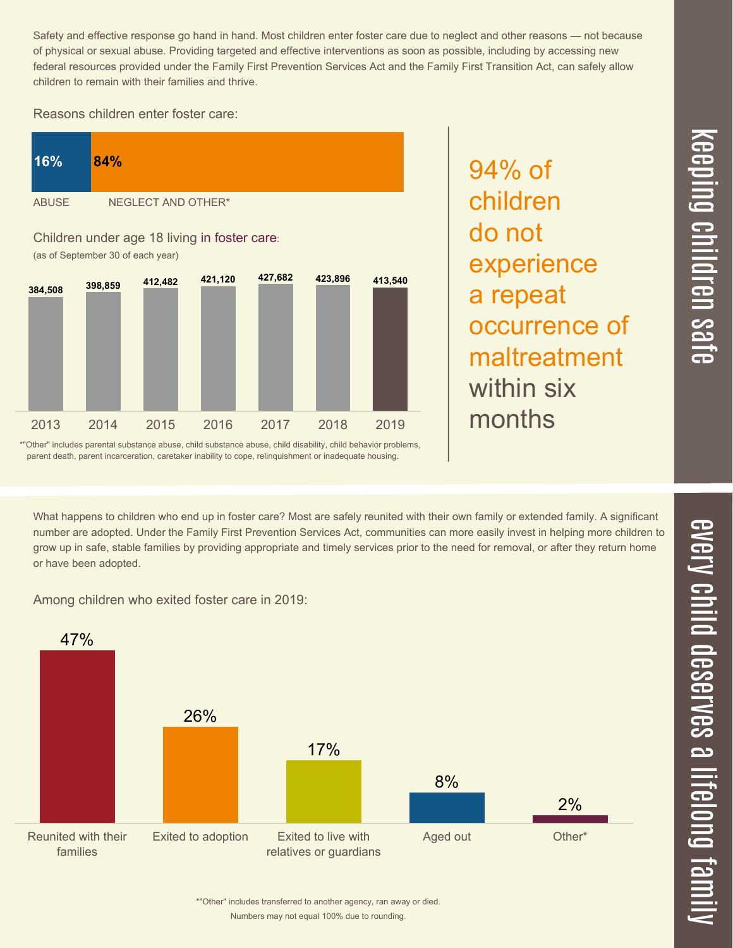<u>ده</u>  $\overrightarrow{c}$ 

Safety and effective response go hand in hand. Most children enter foster care due to neglect and other reasons — not because of physical or sexual abuse. Providing targeted and effective interventions as soon as possible, including by accessing new federal resources provided under the Family First Prevention Services Act and the Family First Transition Act, can safely allow children to remain with their families and thrive.

### Reasons children enter foster care:



94% of children do not experience a repeat occurrence of maltreatment within six months

\*"Other" includes parental substance abuse, child substance abuse, child disability, child behavior problems, parent death, parent incarceration, caretaker inability to cope, relinquishment or inadequate housing.

What happens to children who end up in foster care? Most are safely reunited with their own family or extended family. A significant number are adopted. Under the Family First Prevention Services Act, communities can more easily invest in helping more children to grow up in safe, stable families by providing appropriate and timely services prior to the need for removal, or after they return home or have been adopted.





\*"Other" includes transferred to another agency, ran away or died.

Numbers may not equal 100% due to rounding.

mily